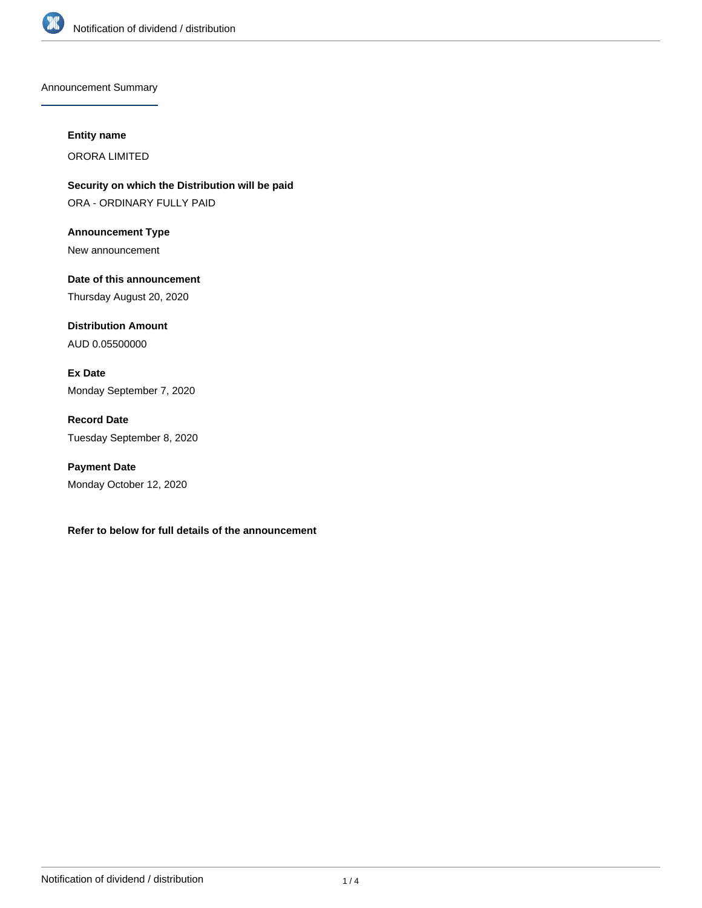

Announcement Summary

#### **Entity name**

ORORA LIMITED

**Security on which the Distribution will be paid** ORA - ORDINARY FULLY PAID

**Announcement Type** New announcement

**Date of this announcement** Thursday August 20, 2020

**Distribution Amount** AUD 0.05500000

**Ex Date** Monday September 7, 2020

**Record Date** Tuesday September 8, 2020

**Payment Date** Monday October 12, 2020

**Refer to below for full details of the announcement**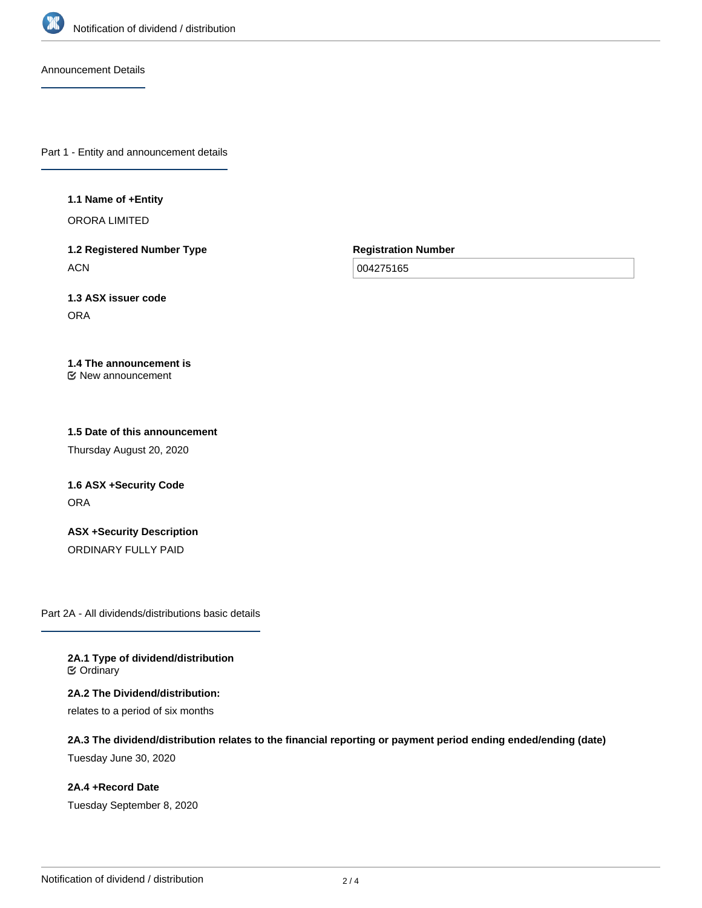

Announcement Details

Part 1 - Entity and announcement details

#### **1.1 Name of +Entity**

ORORA LIMITED

**1.2 Registered Number Type ACN** 

**Registration Number**

004275165

**1.3 ASX issuer code** ORA

#### **1.4 The announcement is** New announcement

# **1.5 Date of this announcement**

Thursday August 20, 2020

# **1.6 ASX +Security Code ORA**

**ASX +Security Description** ORDINARY FULLY PAID

Part 2A - All dividends/distributions basic details

**2A.1 Type of dividend/distribution ⊘** Ordinary

**2A.2 The Dividend/distribution:** relates to a period of six months

**2A.3 The dividend/distribution relates to the financial reporting or payment period ending ended/ending (date)**

Tuesday June 30, 2020

**2A.4 +Record Date** Tuesday September 8, 2020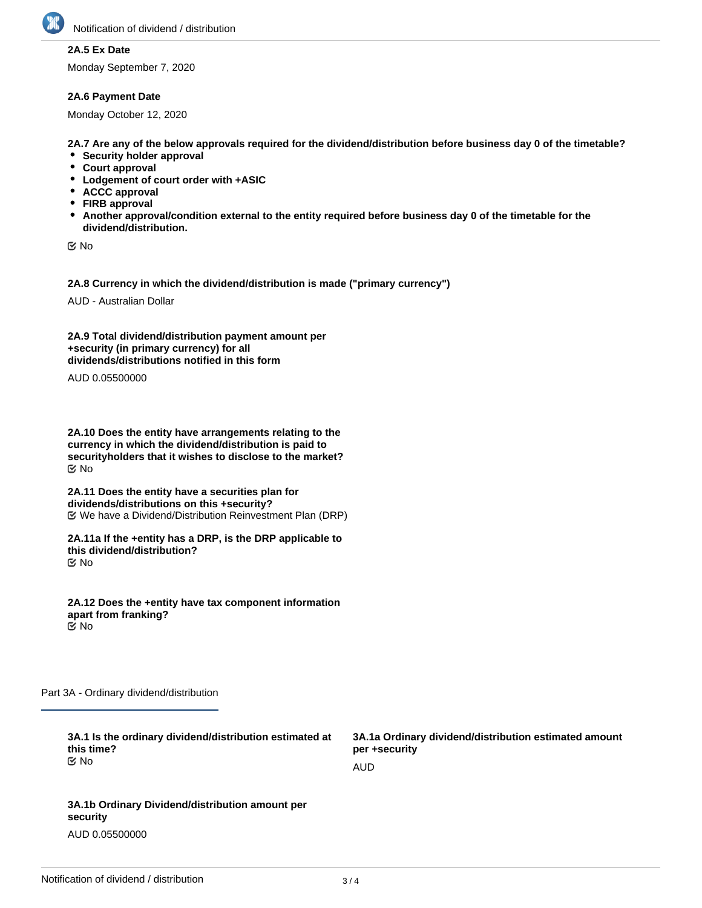

## **2A.5 Ex Date**

Monday September 7, 2020

### **2A.6 Payment Date**

Monday October 12, 2020

**2A.7 Are any of the below approvals required for the dividend/distribution before business day 0 of the timetable?**

- **•** Security holder approval
- **Court approval**
- **Lodgement of court order with +ASIC**
- **ACCC approval**
- **FIRB approval**
- **Another approval/condition external to the entity required before business day 0 of the timetable for the dividend/distribution.**

No

**2A.8 Currency in which the dividend/distribution is made ("primary currency")**

AUD - Australian Dollar

**2A.9 Total dividend/distribution payment amount per +security (in primary currency) for all dividends/distributions notified in this form**

AUD 0.05500000

**2A.10 Does the entity have arrangements relating to the currency in which the dividend/distribution is paid to securityholders that it wishes to disclose to the market?** No

**2A.11 Does the entity have a securities plan for dividends/distributions on this +security?** We have a Dividend/Distribution Reinvestment Plan (DRP)

**2A.11a If the +entity has a DRP, is the DRP applicable to this dividend/distribution?** No

**2A.12 Does the +entity have tax component information apart from franking?** No

Part 3A - Ordinary dividend/distribution

| 3A.1 Is the ordinary dividend/distribution estimated at<br>this time?<br>় No | 3A.1a Ordinary dividend/distribution estimated amount<br>per +security |
|-------------------------------------------------------------------------------|------------------------------------------------------------------------|
|                                                                               | AUD                                                                    |
|                                                                               |                                                                        |
| 3A.1b Ordinary Dividend/distribution amount per<br>security                   |                                                                        |

AUD 0.05500000